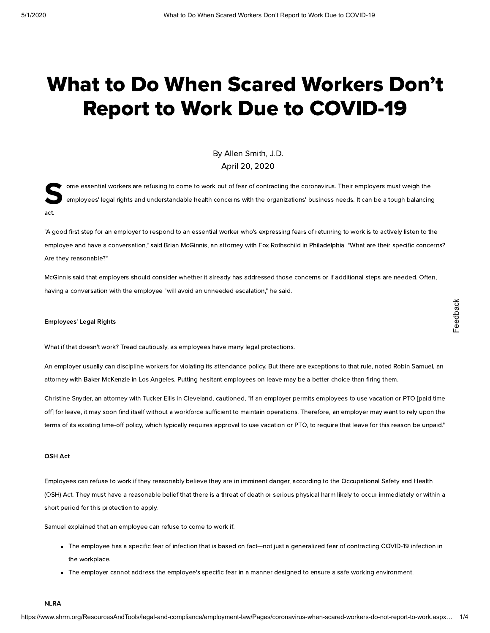# What to Do When Scared Workers Don't Report to Work Due to COVID-19

By Allen [Smith,](https://www.shrm.org/authors/Pages/Allen-Smith.aspx) J.D. April 20, 2020

S. ome essential workers are refusing to come to work out of fear of contracting the coronavirus. Their employers must weigh the employees' legal rights and understandable health concerns with the organizations' business needs. It can be a tough balancing act.

"A good first step for an employer to respond to an essential worker who's expressing fears of returning to work is to actively listen to the employee and have a conversation," said Brian McGinnis, an attorney with Fox Rothschild in Philadelphia. "What are their specific concerns? Are they reasonable?"

McGinnis said that employers should consider whether it already has addressed those concerns or if additional steps are needed. Often, having a conversation with the employee "will avoid an unneeded escalation," he said.

#### Employees' Legal Rights

What if that doesn't work? Tread cautiously, as employees have many legal protections.

An employer usually can discipline workers for violating its attendance policy. But there are exceptions to that rule, noted Robin Samuel, an attorney with Baker McKenzie in Los Angeles. Putting hesitant employees on leave may be a better choice than firing them.

Christine Snyder, an attorney with Tucker Ellis in Cleveland, cautioned, "If an employer permits employees to use vacation or PTO [paid time off] for leave, it may soon find itself without a workforce sufficient to maintain operations. Therefore, an employer may want to rely upon the terms of its existing time-off policy, which typically requires approval to use vacation or PTO, to require that leave for this reason be unpaid."

### OSH Act

Employees can refuse to work if they reasonably believe they are in imminent danger, according to the Occupational Safety and Health (OSH) Act. They must have a reasonable belief that there is a threat of death or serious physical harm likely to occur immediately or within a short period for this protection to apply.

Samuel explained that an employee can refuse to come to work if:

- The employee has a specific fear of infection that is based on fact—not just a generalized fear of contracting COVID-19 infection in the workplace.
- The employer cannot address the employee's specific fear in a manner designed to ensure a safe working environment.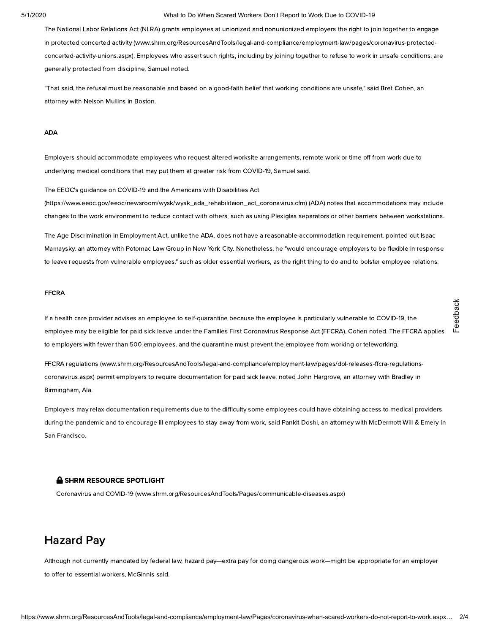#### 5/1/2020 What to Do When Scared Workers Don't Report to Work Due to COVID-19

The National Labor Relations Act (NLRA) grants employees at unionized and nonunionized employers the right to join together to engage in protected concerted activity [\(www.shrm.org/ResourcesAndTools/legal-and-compliance/employment-law/pages/coronavirus-protected](https://www.shrm.org/ResourcesAndTools/legal-and-compliance/employment-law/pages/coronavirus-protected-concerted-activity-unions.aspx)concerted-activity-unions.aspx). Employees who assert such rights, including by joining together to refuse to work in unsafe conditions, are generally protected from discipline, Samuel noted.

"That said, the refusal must be reasonable and based on a good-faith belief that working conditions are unsafe," said Bret Cohen, an attorney with Nelson Mullins in Boston.

#### ADA

Employers should accommodate employees who request altered worksite arrangements, remote work or time off from work due to underlying medical conditions that may put them at greater risk from COVID-19, Samuel said.

The EEOC's guidance on COVID-19 and the Americans with Disabilities Act

[\(https://www.eeoc.gov/eeoc/newsroom/wysk/wysk\\_ada\\_rehabilitaion\\_act\\_coronavirus.cfm\)](https://www.eeoc.gov/eeoc/newsroom/wysk/wysk_ada_rehabilitaion_act_coronavirus.cfm) (ADA) notes that accommodations may include changes to the work environment to reduce contact with others, such as using Plexiglas separators or other barriers between workstations.

The Age Discrimination in Employment Act, unlike the ADA, does not have a reasonable-accommodation requirement, pointed out Isaac Mamaysky, an attorney with Potomac Law Group in New York City. Nonetheless, he "would encourage employers to be flexible in response to leave requests from vulnerable employees," such as older essential workers, as the right thing to do and to bolster employee relations.

#### FFCRA

If a health care provider advises an employee to self-quarantine because the employee is particularly vulnerable to COVID-19, the employee may be eligible for paid sick leave under the Families First Coronavirus Response Act (FFCRA), Cohen noted. The FFCRA applies to employers with fewer than 500 employees, and the quarantine must prevent the employee from working or teleworking. the health care provider advises an employee to self-cuarantine because the employee is particularly vulnerable to COVID-19, the<br>
employee mey to eligible for pad sick leave under the Families First Goronovius Response Act

FFCRA regulations (www.shrm.org/ResourcesAndTools/legal-and-compliance/employment-law/pages/dol-releases-ffcra-regulationscoronavirus.aspx) permit employers to require documentation for paid sick leave, noted John Hargrove, an attorney with Bradley in Birmingham, Ala.

Employers may relax documentation requirements due to the difficulty some employees could have obtaining access to medical providers during the pandemic and to encourage ill employees to stay away from work, said Pankit Doshi, an attorney with McDermott Will & Emery in San Francisco.

#### **A SHRM RESOURCE SPOTLIGHT**

Coronavirus and COVID-19 [\(www.shrm.org/ResourcesAndTools/Pages/communicable-diseases.aspx\)](https://www.shrm.org/ResourcesAndTools/Pages/communicable-diseases.aspx)

# Hazard Pay

Although not currently mandated by federal law, hazard pay—extra pay for doing dangerous work—might be appropriate for an employer